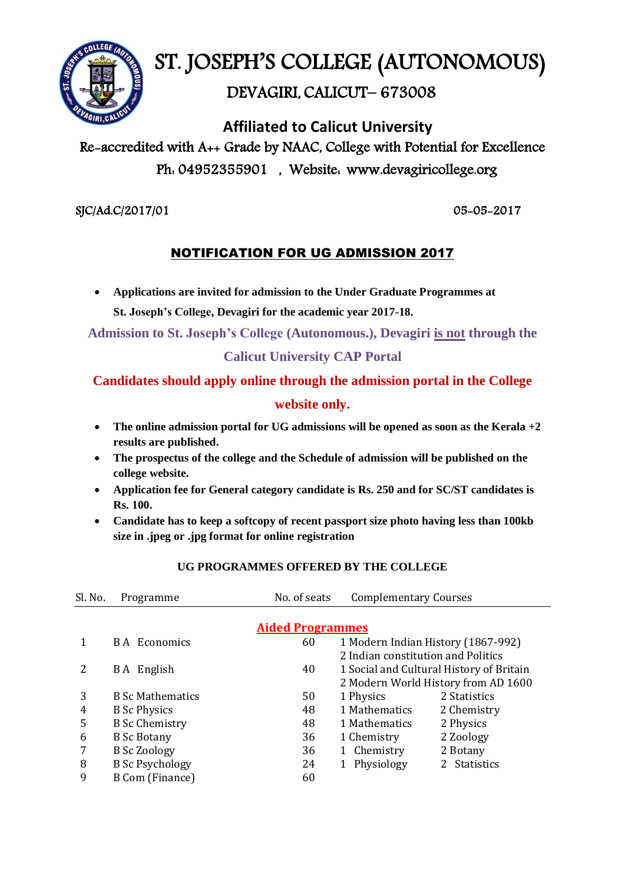

# ST. JOSEPH'S COLLEGE (AUTONOMOUS)

## DEVAGIRI, CALICUT– 673008

 **Affiliated to Calicut University**

# Re-accredited with A++ Grade by NAAC, College with Potential for Excellence Ph: 04952355901 , Website: www.devagiricollege.org

#### SJC/Ad.C/2017/01 05-05-2017

### NOTIFICATION FOR UG ADMISSION 2017

 **Applications are invited for admission to the Under Graduate Programmes at St. Joseph's College, Devagiri for the academic year 2017-18.**

**Admission to St. Joseph's College (Autonomous.), Devagiri is not through the**

#### **Calicut University CAP Portal**

### **Candidates should apply online through the admission portal in the College website only.**

- **The online admission portal for UG admissions will be opened as soon as the Kerala +2 results are published.**
- **The prospectus of the college and the Schedule of admission will be published on the college website.**
- **Application fee for General category candidate is Rs. 250 and for SC/ST candidates is Rs. 100.**
- **Candidate has to keep a softcopy of recent passport size photo having less than 100kb size in .jpeg or .jpg format for online registration**

| Sl. No.                 | Programme               | No. of seats | <b>Complementary Courses</b>             |                                     |  |  |  |
|-------------------------|-------------------------|--------------|------------------------------------------|-------------------------------------|--|--|--|
| <b>Aided Programmes</b> |                         |              |                                          |                                     |  |  |  |
|                         | <b>BA</b> Economics     | 60           | 1 Modern Indian History (1867-992)       |                                     |  |  |  |
|                         |                         |              | 2 Indian constitution and Politics       |                                     |  |  |  |
|                         | B A English             | 40           | 1 Social and Cultural History of Britain |                                     |  |  |  |
|                         |                         |              |                                          | 2 Modern World History from AD 1600 |  |  |  |
| 3                       | <b>B</b> Sc Mathematics | 50           | 1 Physics                                | 2 Statistics                        |  |  |  |
| 4                       | <b>B</b> Sc Physics     | 48           | 1 Mathematics                            | 2 Chemistry                         |  |  |  |
| 5                       | <b>B</b> Sc Chemistry   | 48           | 1 Mathematics                            | 2 Physics                           |  |  |  |
| 6                       | <b>B</b> Sc Botany      | 36           | 1 Chemistry                              | 2 Zoology                           |  |  |  |
|                         | <b>B</b> Sc Zoology     | 36           | Chemistry<br>1                           | 2 Botany                            |  |  |  |
| 8                       | <b>B</b> Sc Psychology  | 24           | Physiology<br>1                          | 2 Statistics                        |  |  |  |
| 9                       | <b>B Com (Finance)</b>  | 60           |                                          |                                     |  |  |  |
|                         |                         |              |                                          |                                     |  |  |  |

#### **UG PROGRAMMES OFFERED BY THE COLLEGE**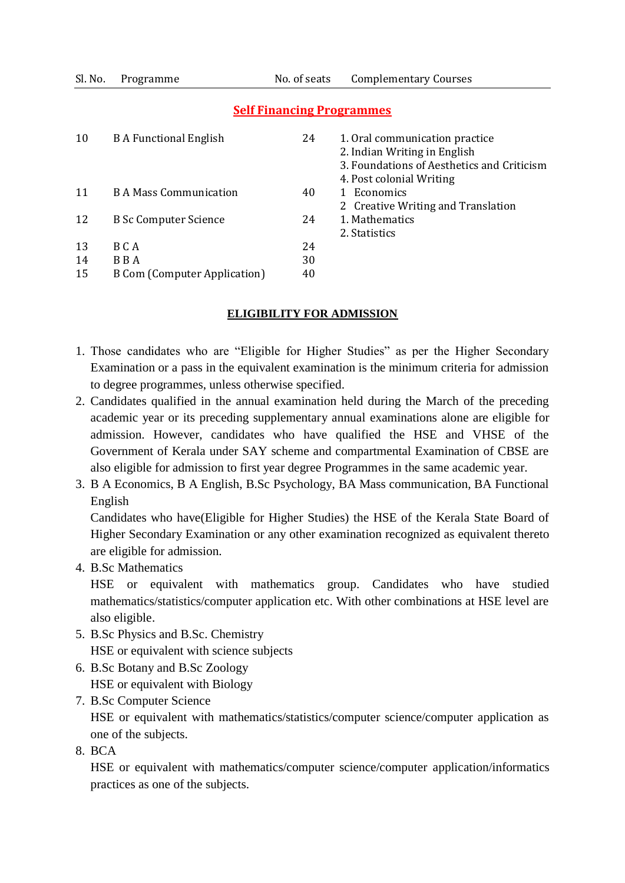Sl. No. Programme No. of seats Complementary Courses

| 10 | <b>B A Functional English</b>       | 24 | 1. Oral communication practice<br>2. Indian Writing in English<br>3. Foundations of Aesthetics and Criticism<br>4. Post colonial Writing |
|----|-------------------------------------|----|------------------------------------------------------------------------------------------------------------------------------------------|
| 11 | <b>B A Mass Communication</b>       | 40 | 1 Economics                                                                                                                              |
|    |                                     |    | 2 Creative Writing and Translation                                                                                                       |
| 12 | <b>B</b> Sc Computer Science        | 24 | 1. Mathematics                                                                                                                           |
|    |                                     |    | 2. Statistics                                                                                                                            |
| 13 | B C A                               | 24 |                                                                                                                                          |
| 14 | B B A                               | 30 |                                                                                                                                          |
| 15 | <b>B Com (Computer Application)</b> | 40 |                                                                                                                                          |
|    |                                     |    |                                                                                                                                          |

#### **Self Financing Programmes**

#### **ELIGIBILITY FOR ADMISSION**

- 1. Those candidates who are "Eligible for Higher Studies" as per the Higher Secondary Examination or a pass in the equivalent examination is the minimum criteria for admission to degree programmes, unless otherwise specified.
- 2. Candidates qualified in the annual examination held during the March of the preceding academic year or its preceding supplementary annual examinations alone are eligible for admission. However, candidates who have qualified the HSE and VHSE of the Government of Kerala under SAY scheme and compartmental Examination of CBSE are also eligible for admission to first year degree Programmes in the same academic year.
- 3. B A Economics, B A English, B.Sc Psychology, BA Mass communication, BA Functional English

Candidates who have(Eligible for Higher Studies) the HSE of the Kerala State Board of Higher Secondary Examination or any other examination recognized as equivalent thereto are eligible for admission.

4. B.Sc Mathematics

HSE or equivalent with mathematics group. Candidates who have studied mathematics/statistics/computer application etc. With other combinations at HSE level are also eligible.

- 5. B.Sc Physics and B.Sc. Chemistry HSE or equivalent with science subjects
- 6. B.Sc Botany and B.Sc Zoology HSE or equivalent with Biology
- 7. B.Sc Computer Science

HSE or equivalent with mathematics/statistics/computer science/computer application as one of the subjects.

8. BCA

HSE or equivalent with mathematics/computer science/computer application/informatics practices as one of the subjects.